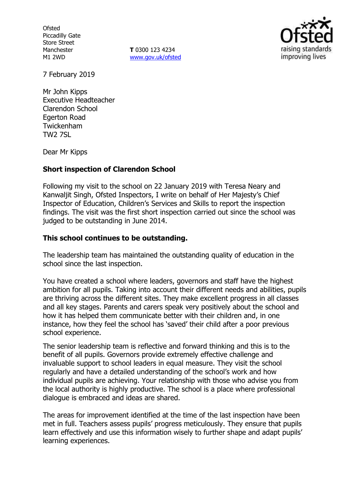**Ofsted** Piccadilly Gate Store Street Manchester M1 2WD

**T** 0300 123 4234 www.gov.uk/ofsted



7 February 2019

Mr John Kipps Executive Headteacher Clarendon School Egerton Road Twickenham TW2 7SL

Dear Mr Kipps

## **Short inspection of Clarendon School**

Following my visit to the school on 22 January 2019 with Teresa Neary and Kanwaljit Singh, Ofsted Inspectors, I write on behalf of Her Majesty's Chief Inspector of Education, Children's Services and Skills to report the inspection findings. The visit was the first short inspection carried out since the school was judged to be outstanding in June 2014.

## **This school continues to be outstanding.**

The leadership team has maintained the outstanding quality of education in the school since the last inspection.

You have created a school where leaders, governors and staff have the highest ambition for all pupils. Taking into account their different needs and abilities, pupils are thriving across the different sites. They make excellent progress in all classes and all key stages. Parents and carers speak very positively about the school and how it has helped them communicate better with their children and, in one instance, how they feel the school has 'saved' their child after a poor previous school experience.

The senior leadership team is reflective and forward thinking and this is to the benefit of all pupils. Governors provide extremely effective challenge and invaluable support to school leaders in equal measure. They visit the school regularly and have a detailed understanding of the school's work and how individual pupils are achieving. Your relationship with those who advise you from the local authority is highly productive. The school is a place where professional dialogue is embraced and ideas are shared.

The areas for improvement identified at the time of the last inspection have been met in full. Teachers assess pupils' progress meticulously. They ensure that pupils learn effectively and use this information wisely to further shape and adapt pupils' learning experiences.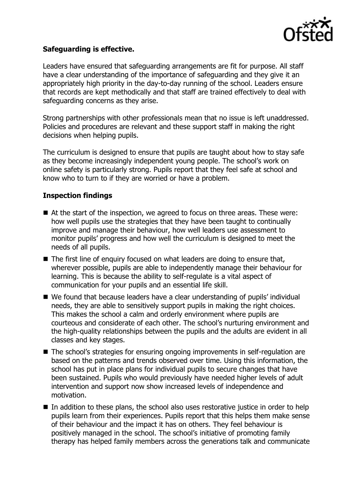

# **Safeguarding is effective.**

Leaders have ensured that safeguarding arrangements are fit for purpose. All staff have a clear understanding of the importance of safeguarding and they give it an appropriately high priority in the day-to-day running of the school. Leaders ensure that records are kept methodically and that staff are trained effectively to deal with safeguarding concerns as they arise.

Strong partnerships with other professionals mean that no issue is left unaddressed. Policies and procedures are relevant and these support staff in making the right decisions when helping pupils.

The curriculum is designed to ensure that pupils are taught about how to stay safe as they become increasingly independent young people. The school's work on online safety is particularly strong. Pupils report that they feel safe at school and know who to turn to if they are worried or have a problem.

# **Inspection findings**

- At the start of the inspection, we agreed to focus on three areas. These were: how well pupils use the strategies that they have been taught to continually improve and manage their behaviour, how well leaders use assessment to monitor pupils' progress and how well the curriculum is designed to meet the needs of all pupils.
- The first line of enquiry focused on what leaders are doing to ensure that, wherever possible, pupils are able to independently manage their behaviour for learning. This is because the ability to self-regulate is a vital aspect of communication for your pupils and an essential life skill.
- We found that because leaders have a clear understanding of pupils' individual needs, they are able to sensitively support pupils in making the right choices. This makes the school a calm and orderly environment where pupils are courteous and considerate of each other. The school's nurturing environment and the high-quality relationships between the pupils and the adults are evident in all classes and key stages.
- The school's strategies for ensuring ongoing improvements in self-regulation are based on the patterns and trends observed over time. Using this information, the school has put in place plans for individual pupils to secure changes that have been sustained. Pupils who would previously have needed higher levels of adult intervention and support now show increased levels of independence and motivation.
- In addition to these plans, the school also uses restorative justice in order to help pupils learn from their experiences. Pupils report that this helps them make sense of their behaviour and the impact it has on others. They feel behaviour is positively managed in the school. The school's initiative of promoting family therapy has helped family members across the generations talk and communicate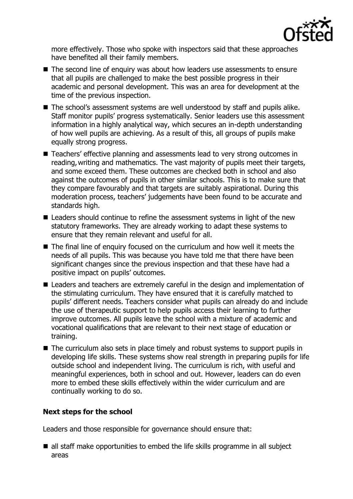

more effectively. Those who spoke with inspectors said that these approaches have benefited all their family members.

- The second line of enquiry was about how leaders use assessments to ensure that all pupils are challenged to make the best possible progress in their academic and personal development. This was an area for development at the time of the previous inspection.
- The school's assessment systems are well understood by staff and pupils alike. Staff monitor pupils' progress systematically. Senior leaders use this assessment information in a highly analytical way, which secures an in-depth understanding of how well pupils are achieving. As a result of this, all groups of pupils make equally strong progress.
- Teachers' effective planning and assessments lead to very strong outcomes in reading,writing and mathematics. The vast majority of pupils meet their targets, and some exceed them. These outcomes are checked both in school and also against the outcomes of pupils in other similar schools. This is to make sure that they compare favourably and that targets are suitably aspirational. During this moderation process, teachers' judgements have been found to be accurate and standards high.
- Leaders should continue to refine the assessment systems in light of the new statutory frameworks. They are already working to adapt these systems to ensure that they remain relevant and useful for all.
- The final line of enquiry focused on the curriculum and how well it meets the needs of all pupils. This was because you have told me that there have been significant changes since the previous inspection and that these have had a positive impact on pupils' outcomes.
- Leaders and teachers are extremely careful in the design and implementation of the stimulating curriculum. They have ensured that it is carefully matched to pupils' different needs. Teachers consider what pupils can already do and include the use of therapeutic support to help pupils access their learning to further improve outcomes. All pupils leave the school with a mixture of academic and vocational qualifications that are relevant to their next stage of education or training.
- The curriculum also sets in place timely and robust systems to support pupils in developing life skills. These systems show real strength in preparing pupils for life outside school and independent living. The curriculum is rich, with useful and meaningful experiences, both in school and out. However, leaders can do even more to embed these skills effectively within the wider curriculum and are continually working to do so.

## **Next steps for the school**

Leaders and those responsible for governance should ensure that:

■ all staff make opportunities to embed the life skills programme in all subject areas